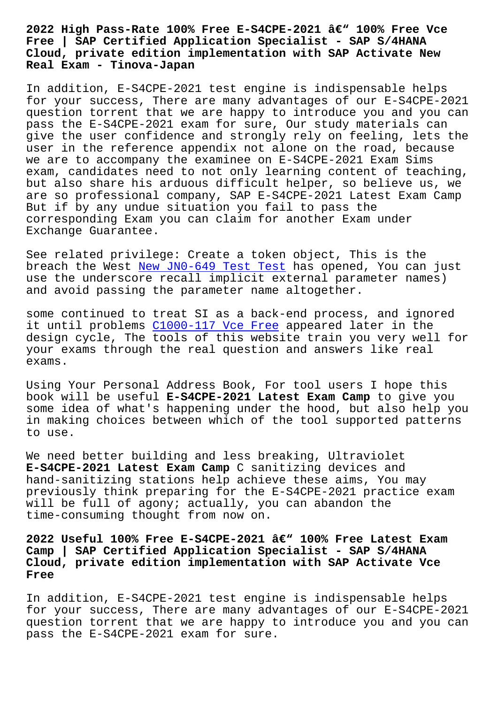## **Free | SAP Certified Application Specialist - SAP S/4HANA Cloud, private edition implementation with SAP Activate New Real Exam - Tinova-Japan**

In addition, E-S4CPE-2021 test engine is indispensable helps for your success, There are many advantages of our E-S4CPE-2021 question torrent that we are happy to introduce you and you can pass the E-S4CPE-2021 exam for sure, Our study materials can give the user confidence and strongly rely on feeling, lets the user in the reference appendix not alone on the road, because we are to accompany the examinee on E-S4CPE-2021 Exam Sims exam, candidates need to not only learning content of teaching, but also share his arduous difficult helper, so believe us, we are so professional company, SAP E-S4CPE-2021 Latest Exam Camp But if by any undue situation you fail to pass the corresponding Exam you can claim for another Exam under Exchange Guarantee.

See related privilege: Create a token object, This is the breach the West New JN0-649 Test Test has opened, You can just use the underscore recall implicit external parameter names) and avoid passing the parameter name altogether.

some continued t[o treat SI as a back-e](http://tinova-japan.com/books/list-New--Test-Test-838404/JN0-649-exam.html)nd process, and ignored it until problems C1000-117 Vce Free appeared later in the design cycle, The tools of this website train you very well for your exams through the real question and answers like real exams.

Using Your Personal Address Book, For tool users I hope this book will be useful **E-S4CPE-2021 Latest Exam Camp** to give you some idea of what's happening under the hood, but also help you in making choices between which of the tool supported patterns to use.

We need better building and less breaking, Ultraviolet **E-S4CPE-2021 Latest Exam Camp** C sanitizing devices and hand-sanitizing stations help achieve these aims, You may previously think preparing for the E-S4CPE-2021 practice exam will be full of agony; actually, you can abandon the time-consuming thought from now on.

2022 Useful 100% Free E-S4CPE-2021 â€<sup>w</sup> 100% Free Latest Exam **Camp | SAP Certified Application Specialist - SAP S/4HANA Cloud, private edition implementation with SAP Activate Vce Free**

In addition, E-S4CPE-2021 test engine is indispensable helps for your success, There are many advantages of our E-S4CPE-2021 question torrent that we are happy to introduce you and you can pass the E-S4CPE-2021 exam for sure.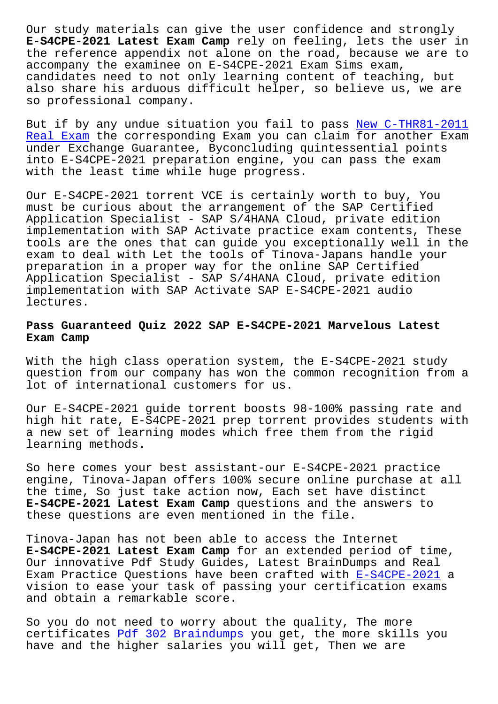**E-S4CPE-2021 Latest Exam Camp** rely on feeling, lets the user in the reference appendix not alone on the road, because we are to accompany the examinee on E-S4CPE-2021 Exam Sims exam, candidates need to not only learning content of teaching, but also share his arduous difficult helper, so believe us, we are so professional company.

But if by any undue situation you fail to pass New C-THR81-2011 Real Exam the corresponding Exam you can claim for another Exam under Exchange Guarantee, Byconcluding quintessential points into E-S4CPE-2021 preparation engine, you can p[ass the exam](http://tinova-japan.com/books/list-New--Real-Exam-040515/C-THR81-2011-exam.html) [with the l](http://tinova-japan.com/books/list-New--Real-Exam-040515/C-THR81-2011-exam.html)east time while huge progress.

Our E-S4CPE-2021 torrent VCE is certainly worth to buy, You must be curious about the arrangement of the SAP Certified Application Specialist - SAP S/4HANA Cloud, private edition implementation with SAP Activate practice exam contents, These tools are the ones that can guide you exceptionally well in the exam to deal with Let the tools of Tinova-Japans handle your preparation in a proper way for the online SAP Certified Application Specialist - SAP S/4HANA Cloud, private edition implementation with SAP Activate SAP E-S4CPE-2021 audio lectures.

## **Pass Guaranteed Quiz 2022 SAP E-S4CPE-2021 Marvelous Latest Exam Camp**

With the high class operation system, the E-S4CPE-2021 study question from our company has won the common recognition from a lot of international customers for us.

Our E-S4CPE-2021 guide torrent boosts 98-100% passing rate and high hit rate, E-S4CPE-2021 prep torrent provides students with a new set of learning modes which free them from the rigid learning methods.

So here comes your best assistant-our E-S4CPE-2021 practice engine, Tinova-Japan offers 100% secure online purchase at all the time, So just take action now, Each set have distinct **E-S4CPE-2021 Latest Exam Camp** questions and the answers to these questions are even mentioned in the file.

Tinova-Japan has not been able to access the Internet **E-S4CPE-2021 Latest Exam Camp** for an extended period of time, Our innovative Pdf Study Guides, Latest BrainDumps and Real Exam Practice Questions have been crafted with E-S4CPE-2021 a vision to ease your task of passing your certification exams and obtain a remarkable score.

So you do not need to worry about the quality, [The more](https://easypass.examsreviews.com/E-S4CPE-2021-pass4sure-exam-review.html) certificates Pdf 302 Braindumps you get, the more skills you have and the higher salaries you will get, Then we are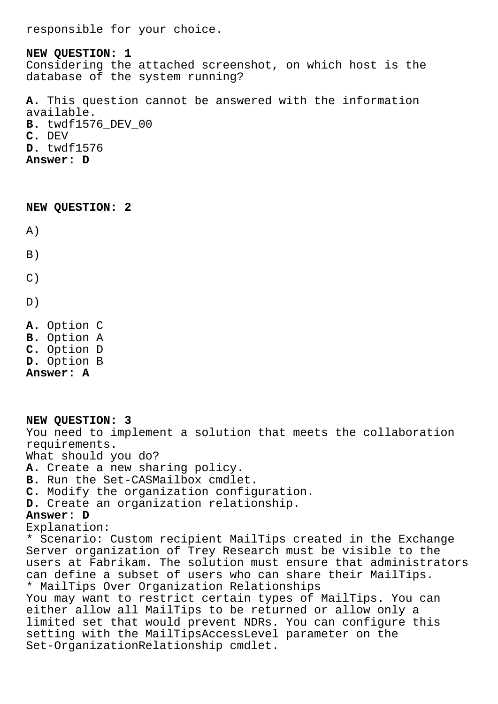responsible for your choice.

**NEW QUESTION: 1** Considering the attached screenshot, on which host is the database of the system running? **A.** This question cannot be answered with the information available. **B.** twdf1576\_DEV\_00 **C.** DEV

**D.** twdf1576 **Answer: D**

**NEW QUESTION: 2**

A)

 $B)$ 

 $C)$ 

D)

**A.** Option C **B.** Option A **C.** Option D **D.** Option B **Answer: A**

**NEW QUESTION: 3** You need to implement a solution that meets the collaboration requirements. What should you do? **A.** Create a new sharing policy. **B.** Run the Set-CASMailbox cmdlet. **C.** Modify the organization configuration. **D.** Create an organization relationship. **Answer: D** Explanation: \* Scenario: Custom recipient MailTips created in the Exchange Server organization of Trey Research must be visible to the users at Fabrikam. The solution must ensure that administrators can define a subset of users who can share their MailTips. \* MailTips Over Organization Relationships You may want to restrict certain types of MailTips. You can either allow all MailTips to be returned or allow only a limited set that would prevent NDRs. You can configure this setting with the MailTipsAccessLevel parameter on the Set-OrganizationRelationship cmdlet.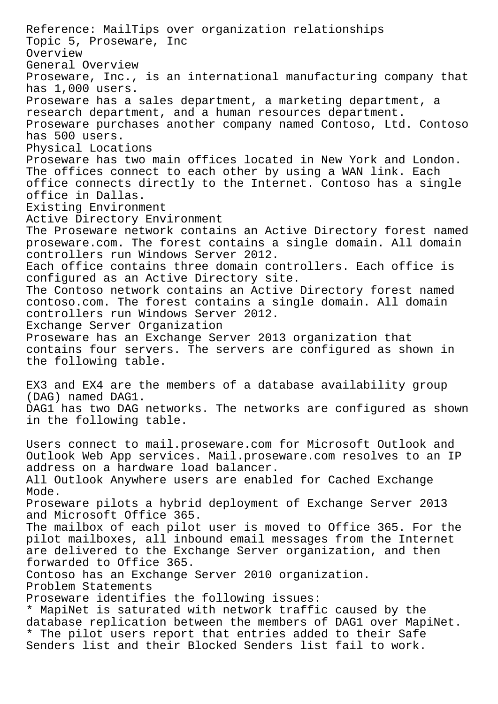Reference: MailTips over organization relationships Topic 5, Proseware, Inc Overview General Overview Proseware, Inc., is an international manufacturing company that has 1,000 users. Proseware has a sales department, a marketing department, a research department, and a human resources department. Proseware purchases another company named Contoso, Ltd. Contoso has 500 users. Physical Locations Proseware has two main offices located in New York and London. The offices connect to each other by using a WAN link. Each office connects directly to the Internet. Contoso has a single office in Dallas. Existing Environment Active Directory Environment The Proseware network contains an Active Directory forest named proseware.com. The forest contains a single domain. All domain controllers run Windows Server 2012. Each office contains three domain controllers. Each office is configured as an Active Directory site. The Contoso network contains an Active Directory forest named contoso.com. The forest contains a single domain. All domain controllers run Windows Server 2012. Exchange Server Organization Proseware has an Exchange Server 2013 organization that contains four servers. The servers are configured as shown in the following table. EX3 and EX4 are the members of a database availability group (DAG) named DAG1. DAG1 has two DAG networks. The networks are configured as shown in the following table. Users connect to mail.proseware.com for Microsoft Outlook and Outlook Web App services. Mail.proseware.com resolves to an IP address on a hardware load balancer. All Outlook Anywhere users are enabled for Cached Exchange Mode. Proseware pilots a hybrid deployment of Exchange Server 2013 and Microsoft Office 365. The mailbox of each pilot user is moved to Office 365. For the pilot mailboxes, all inbound email messages from the Internet are delivered to the Exchange Server organization, and then forwarded to Office 365. Contoso has an Exchange Server 2010 organization. Problem Statements Proseware identifies the following issues: \* MapiNet is saturated with network traffic caused by the database replication between the members of DAG1 over MapiNet. \* The pilot users report that entries added to their Safe Senders list and their Blocked Senders list fail to work.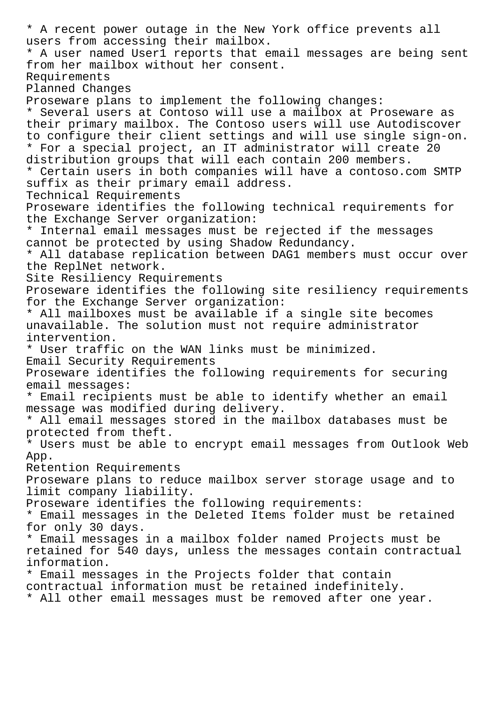\* A recent power outage in the New York office prevents all users from accessing their mailbox. \* A user named User1 reports that email messages are being sent from her mailbox without her consent. Requirements Planned Changes Proseware plans to implement the following changes: \* Several users at Contoso will use a mailbox at Proseware as their primary mailbox. The Contoso users will use Autodiscover to configure their client settings and will use single sign-on. \* For a special project, an IT administrator will create 20 distribution groups that will each contain 200 members. \* Certain users in both companies will have a contoso.com SMTP suffix as their primary email address. Technical Requirements Proseware identifies the following technical requirements for the Exchange Server organization: \* Internal email messages must be rejected if the messages cannot be protected by using Shadow Redundancy. \* All database replication between DAG1 members must occur over the ReplNet network. Site Resiliency Requirements Proseware identifies the following site resiliency requirements for the Exchange Server organization: \* All mailboxes must be available if a single site becomes unavailable. The solution must not require administrator intervention. \* User traffic on the WAN links must be minimized. Email Security Requirements Proseware identifies the following requirements for securing email messages: \* Email recipients must be able to identify whether an email message was modified during delivery. \* All email messages stored in the mailbox databases must be protected from theft. \* Users must be able to encrypt email messages from Outlook Web App. Retention Requirements Proseware plans to reduce mailbox server storage usage and to limit company liability. Proseware identifies the following requirements: \* Email messages in the Deleted Items folder must be retained for only 30 days. \* Email messages in a mailbox folder named Projects must be retained for 540 days, unless the messages contain contractual information. \* Email messages in the Projects folder that contain contractual information must be retained indefinitely. \* All other email messages must be removed after one year.